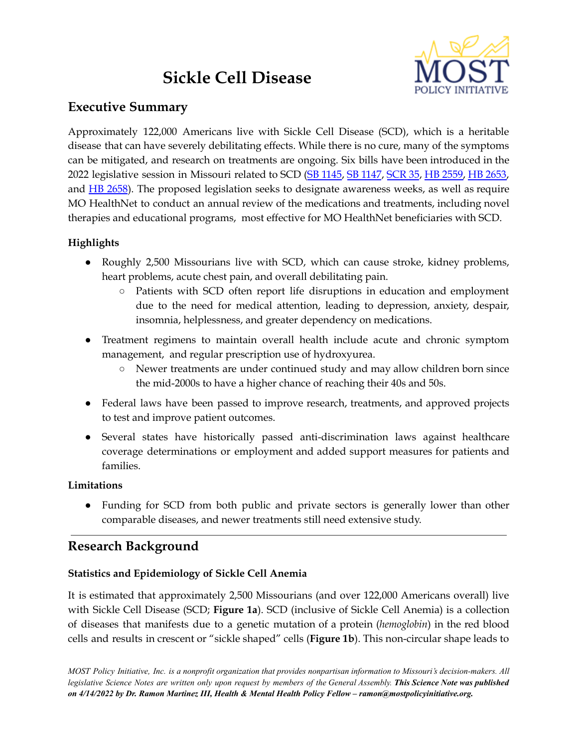# **Sickle Cell Disease**



# **Executive Summary**

Approximately 122,000 Americans live with Sickle Cell Disease (SCD), which is a heritable disease that can have severely debilitating effects. While there is no cure, many of the symptoms can be mitigated, and research on treatments are ongoing. Six bills have been introduced in the 2022 legislative session in Missouri related to SCD (SB [1145](https://www.senate.mo.gov/22info/BTS_Web/Bill.aspx?Sessiontype=R&BillPrefix=SB&BillSuffix=1145), SB [1147](https://www.senate.mo.gov/22info/BTS_Web/Bill.aspx?Sessiontype=R&BillPrefix=SB&BillSuffix=1147), [SCR](https://www.senate.mo.gov/22info/BTS_Web/Bill.aspx?Sessiontype=R&BillPrefix=SCR&BillSuffix=35) 35, HB [2559,](https://house.mo.gov/Bill.aspx?bill=HB2559&year=2022&code=R) HB [2653,](https://house.mo.gov/Bill.aspx?bill=HB2653&year=2022&code=R) and HB [2658](https://house.mo.gov/Bill.aspx?bill=HB2658&year=2022&code=R)). The proposed legislation seeks to designate awareness weeks, as well as require MO HealthNet to conduct an annual review of the medications and treatments, including novel therapies and educational programs, most effective for MO HealthNet beneficiaries with SCD.

# **Highlights**

- Roughly 2,500 Missourians live with SCD, which can cause stroke, kidney problems, heart problems, acute chest pain, and overall debilitating pain.
	- Patients with SCD often report life disruptions in education and employment due to the need for medical attention, leading to depression, anxiety, despair, insomnia, helplessness, and greater dependency on medications.
- Treatment regimens to maintain overall health include acute and chronic symptom management, and regular prescription use of hydroxyurea.
	- Newer treatments are under continued study and may allow children born since the mid-2000s to have a higher chance of reaching their 40s and 50s.
- Federal laws have been passed to improve research, treatments, and approved projects to test and improve patient outcomes.
- Several states have historically passed anti-discrimination laws against healthcare coverage determinations or employment and added support measures for patients and families.

# **Limitations**

• Funding for SCD from both public and private sectors is generally lower than other comparable diseases, and newer treatments still need extensive study.

# **Research Background**

# **Statistics and Epidemiology of Sickle Cell Anemia**

It is estimated that approximately 2,500 Missourians (and over 122,000 Americans overall) live with Sickle Cell Disease (SCD; **Figure 1a**). SCD (inclusive of Sickle Cell Anemia) is a collection of diseases that manifests due to a genetic mutation of a protein (*hemoglobin*) in the red blood cells and results in crescent or "sickle shaped" cells (**Figure 1b**). This non-circular shape leads to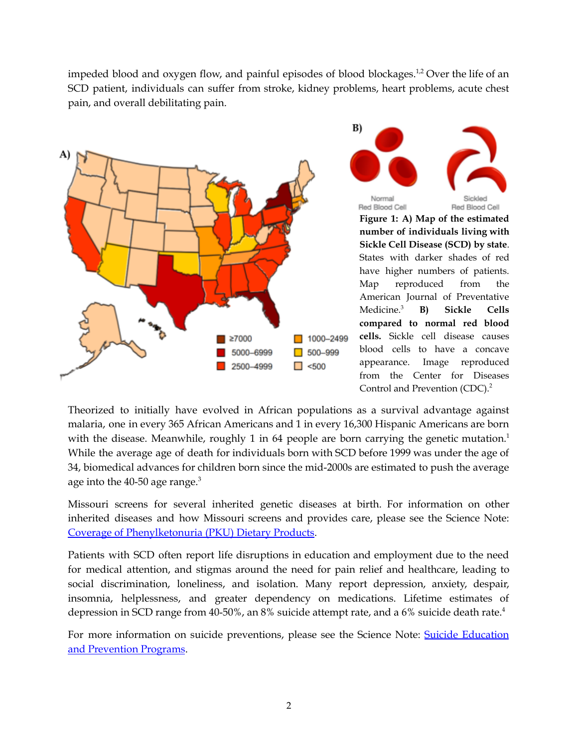impeded blood and oxygen flow, and painful episodes of blood blockages.<sup>1,2</sup> Over the life of an SCD patient, individuals can suffer from stroke, kidney problems, heart problems, acute chest pain, and overall debilitating pain.

B)



Normal Red Blood Cell Red Blood Cell **Figure 1: A) Map of the estimated number of individuals living with Sickle Cell Disease (SCD) by state**. States with darker shades of red have higher numbers of patients. Map reproduced from the American Journal of Preventative Medicine.<sup>3</sup> <sup>3</sup> **B) Sickle Cells compared to normal red blood cells.** Sickle cell disease causes blood cells to have a concave appearance. Image reproduced from the Center for Diseases Control and Prevention (CDC). 2

Theorized to initially have evolved in African populations as a survival advantage against malaria, one in every 365 African Americans and 1 in every 16,300 Hispanic Americans are born with the disease. Meanwhile, roughly 1 in 64 people are born carrying the genetic mutation.<sup>1</sup> While the average age of death for individuals born with SCD before 1999 was under the age of 34, biomedical advances for children born since the mid-2000s are estimated to push the average age into the 40-50 age range. $3$ 

Missouri screens for several inherited genetic diseases at birth. For information on other inherited diseases and how Missouri screens and provides care, please see the Science Note: Coverage of [Phenylketonuria](https://mostpolicyinitiative.org/science-note/coverage-of-phenylketonuria-pku-dietary-products/) (PKU) Dietary Products.

Patients with SCD often report life disruptions in education and employment due to the need for medical attention, and stigmas around the need for pain relief and healthcare, leading to social discrimination, loneliness, and isolation. Many report depression, anxiety, despair, insomnia, helplessness, and greater dependency on medications. Lifetime estimates of depression in SCD range from 40-50%, an 8% suicide attempt rate, and a 6% suicide death rate. 4

For more information on suicide preventions, please see the Science Note: Suicide [Education](https://mostpolicyinitiative.org/science-note/suicide-education-prevention-programs/) and [Prevention](https://mostpolicyinitiative.org/science-note/suicide-education-prevention-programs/) Programs.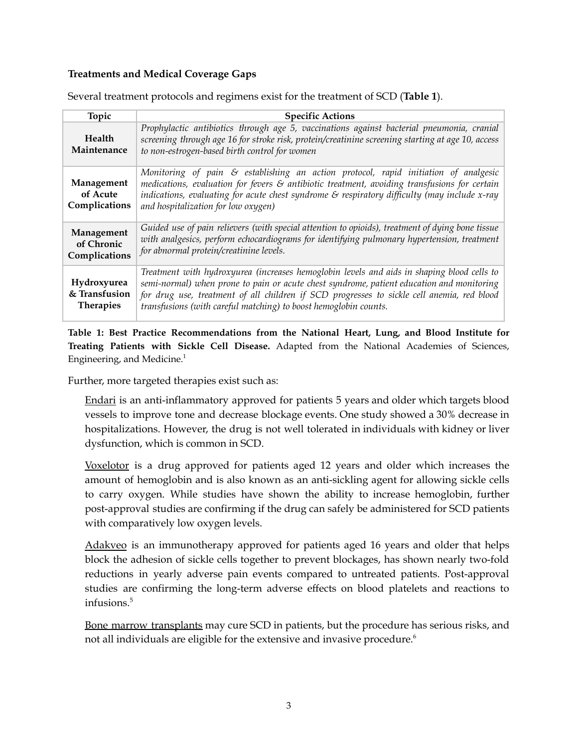#### **Treatments and Medical Coverage Gaps**

| Topic                                            | <b>Specific Actions</b>                                                                                                                                                                                                                                                                                                                                   |
|--------------------------------------------------|-----------------------------------------------------------------------------------------------------------------------------------------------------------------------------------------------------------------------------------------------------------------------------------------------------------------------------------------------------------|
| Health<br>Maintenance                            | Prophylactic antibiotics through age 5, vaccinations against bacterial pneumonia, cranial<br>screening through age 16 for stroke risk, protein/creatinine screening starting at age 10, access<br>to non-estrogen-based birth control for women                                                                                                           |
| Management<br>of Acute<br>Complications          | Monitoring of pain & establishing an action protocol, rapid initiation of analgesic<br>medications, evaluation for fevers $\varepsilon$ antibiotic treatment, avoiding transfusions for certain<br>indications, evaluating for acute chest syndrome $\mathcal E$ respiratory difficulty (may include x-ray<br>and hospitalization for low oxygen)         |
| Management<br>of Chronic<br>Complications        | Guided use of pain relievers (with special attention to opioids), treatment of dying bone tissue<br>with analgesics, perform echocardiograms for identifying pulmonary hypertension, treatment<br>for abnormal protein/creatinine levels.                                                                                                                 |
| Hydroxyurea<br>& Transfusion<br><b>Therapies</b> | Treatment with hydroxyurea (increases hemoglobin levels and aids in shaping blood cells to<br>semi-normal) when prone to pain or acute chest syndrome, patient education and monitoring<br>for drug use, treatment of all children if SCD progresses to sickle cell anemia, red blood<br>transfusions (with careful matching) to boost hemoglobin counts. |

Several treatment protocols and regimens exist for the treatment of SCD (**Table 1**).

**Table 1: Best Practice Recommendations from the National Heart, Lung, and Blood Institute for Treating Patients with Sickle Cell Disease.** Adapted from the National Academies of Sciences, Engineering, and Medicine. 1

Further, more targeted therapies exist such as:

Endari is an anti-inflammatory approved for patients 5 years and older which targets blood vessels to improve tone and decrease blockage events. One study showed a 30% decrease in hospitalizations. However, the drug is not well tolerated in individuals with kidney or liver dysfunction, which is common in SCD.

Voxelotor is a drug approved for patients aged 12 years and older which increases the amount of hemoglobin and is also known as an anti-sickling agent for allowing sickle cells to carry oxygen. While studies have shown the ability to increase hemoglobin, further post-approval studies are confirming if the drug can safely be administered for SCD patients with comparatively low oxygen levels.

Adakveo is an immunotherapy approved for patients aged 16 years and older that helps block the adhesion of sickle cells together to prevent blockages, has shown nearly two-fold reductions in yearly adverse pain events compared to untreated patients. Post-approval studies are confirming the long-term adverse effects on blood platelets and reactions to infusions. 5

Bone marrow transplants may cure SCD in patients, but the procedure has serious risks, and not all individuals are eligible for the extensive and invasive procedure. 6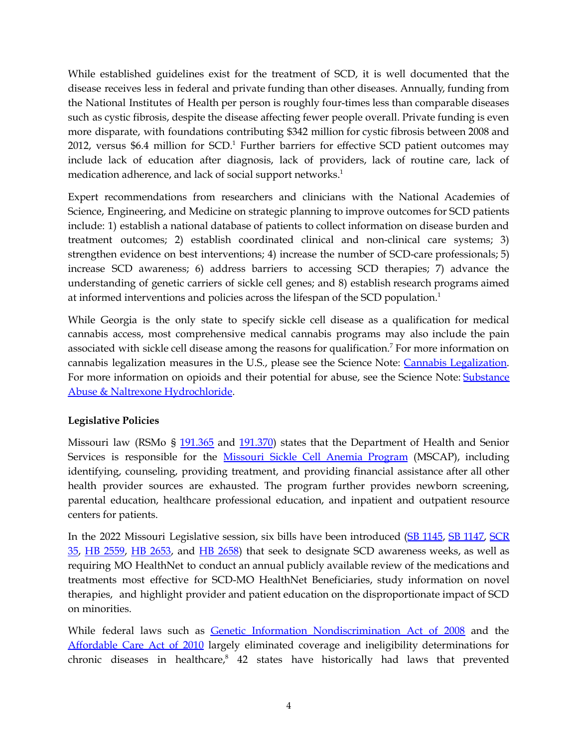While established guidelines exist for the treatment of SCD, it is well documented that the disease receives less in federal and private funding than other diseases. Annually, funding from the National Institutes of Health per person is roughly four-times less than comparable diseases such as cystic fibrosis, despite the disease affecting fewer people overall. Private funding is even more disparate, with foundations contributing \$342 million for cystic fibrosis between 2008 and 2012, versus \$6.4 million for SCD. <sup>1</sup> Further barriers for effective SCD patient outcomes may include lack of education after diagnosis, lack of providers, lack of routine care, lack of medication adherence, and lack of social support networks. 1

Expert recommendations from researchers and clinicians with the National Academies of Science, Engineering, and Medicine on strategic planning to improve outcomes for SCD patients include: 1) establish a national database of patients to collect information on disease burden and treatment outcomes; 2) establish coordinated clinical and non-clinical care systems; 3) strengthen evidence on best interventions; 4) increase the number of SCD-care professionals; 5) increase SCD awareness; 6) address barriers to accessing SCD therapies; 7) advance the understanding of genetic carriers of sickle cell genes; and 8) establish research programs aimed at informed interventions and policies across the lifespan of the SCD population.<sup>1</sup>

While Georgia is the only state to specify sickle cell disease as a qualification for medical cannabis access, most comprehensive medical cannabis programs may also include the pain associated with sickle cell disease among the reasons for qualification. <sup>7</sup> For more information on cannabis legalization measures in the U.S., please see the Science Note: Cannabis [Legalization.](https://mostpolicyinitiative.org/science-note/cannabis-legalization/) For more information on opioids and their potential for abuse, see the Science Note: [Substance](https://mostpolicyinitiative.org/science-note/substance-abuse-naltrexone-hydrochloride/) Abuse & Naltrexone [Hydrochloride](https://mostpolicyinitiative.org/science-note/substance-abuse-naltrexone-hydrochloride/).

### **Legislative Policies**

Missouri law (RSMo § [191.365](https://revisor.mo.gov/main/OneSection.aspx?section=191.365&bid=9583&hl=) and [191.370](https://revisor.mo.gov/main/OneSection.aspx?section=191.370&bid=9584&hl=)) states that the Department of Health and Senior Services is responsible for the [Missouri](https://health.mo.gov/living/families/genetics/sicklecell/) Sickle Cell Anemia Program (MSCAP), including identifying, counseling, providing treatment, and providing financial assistance after all other health provider sources are exhausted. The program further provides newborn screening, parental education, healthcare professional education, and inpatient and outpatient resource centers for patients.

In the 2022 Missouri Legislative session, six bills have been introduced (SB [1145](https://www.senate.mo.gov/22info/BTS_Web/Bill.aspx?Sessiontype=R&BillPrefix=SB&BillSuffix=1145), SB [1147,](https://www.senate.mo.gov/22info/BTS_Web/Bill.aspx?Sessiontype=R&BillPrefix=SB&BillSuffix=1147) [SCR](https://www.senate.mo.gov/22info/BTS_Web/Bill.aspx?Sessiontype=R&BillPrefix=SCR&BillSuffix=35) [35,](https://www.senate.mo.gov/22info/BTS_Web/Bill.aspx?Sessiontype=R&BillPrefix=SCR&BillSuffix=35) HB [2559](https://house.mo.gov/Bill.aspx?bill=HB2559&year=2022&code=R), HB [2653](https://house.mo.gov/Bill.aspx?bill=HB2653&year=2022&code=R), and HB [2658](https://house.mo.gov/Bill.aspx?bill=HB2658&year=2022&code=R)) that seek to designate SCD awareness weeks, as well as requiring MO HealthNet to conduct an annual publicly available review of the medications and treatments most effective for SCD-MO HealthNet Beneficiaries, study information on novel therapies, and highlight provider and patient education on the disproportionate impact of SCD on minorities.

While federal laws such as **Genetic Information [Nondiscrimination](https://www.congress.gov/bill/110th-congress/house-bill/493/text) Act of 2008** and the [Affordable](https://www.congress.gov/111/plaws/publ148/PLAW-111publ148.pdf) Care Act of 2010 largely eliminated coverage and ineligibility determinations for chronic diseases in healthcare, <sup>8</sup> 42 states have historically had laws that prevented